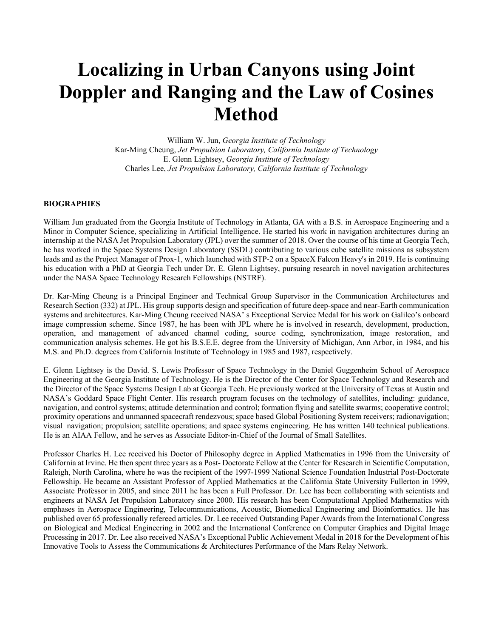# **Localizing in Urban Canyons using Joint Doppler and Ranging and the Law of Cosines Method**

William W. Jun, *Georgia Institute of Technology* Kar-Ming Cheung, *Jet Propulsion Laboratory, California Institute of Technology* E. Glenn Lightsey, *Georgia Institute of Technology* Charles Lee, *Jet Propulsion Laboratory, California Institute of Technology*

#### **BIOGRAPHIES**

William Jun graduated from the Georgia Institute of Technology in Atlanta, GA with a B.S. in Aerospace Engineering and a Minor in Computer Science, specializing in Artificial Intelligence. He started his work in navigation architectures during an internship at the NASA Jet Propulsion Laboratory (JPL) over the summer of 2018. Over the course of his time at Georgia Tech, he has worked in the Space Systems Design Laboratory (SSDL) contributing to various cube satellite missions as subsystem leads and as the Project Manager of Prox-1, which launched with STP-2 on a SpaceX Falcon Heavy's in 2019. He is continuing his education with a PhD at Georgia Tech under Dr. E. Glenn Lightsey, pursuing research in novel navigation architectures under the NASA Space Technology Research Fellowships (NSTRF).

Dr. Kar-Ming Cheung is a Principal Engineer and Technical Group Supervisor in the Communication Architectures and Research Section (332) at JPL. His group supports design and specification of future deep-space and near-Earth communication systems and architectures. Kar-Ming Cheung received NASA' s Exceptional Service Medal for his work on Galileo's onboard image compression scheme. Since 1987, he has been with JPL where he is involved in research, development, production, operation, and management of advanced channel coding, source coding, synchronization, image restoration, and communication analysis schemes. He got his B.S.E.E. degree from the University of Michigan, Ann Arbor, in 1984, and his M.S. and Ph.D. degrees from California Institute of Technology in 1985 and 1987, respectively.

E. Glenn Lightsey is the David. S. Lewis Professor of Space Technology in the Daniel Guggenheim School of Aerospace Engineering at the Georgia Institute of Technology. He is the Director of the Center for Space Technology and Research and the Director of the Space Systems Design Lab at Georgia Tech. He previously worked at the University of Texas at Austin and NASA's Goddard Space Flight Center. His research program focuses on the technology of satellites, including: guidance, navigation, and control systems; attitude determination and control; formation flying and satellite swarms; cooperative control; proximity operations and unmanned spacecraft rendezvous; space based Global Positioning System receivers; radionavigation; visual navigation; propulsion; satellite operations; and space systems engineering. He has written 140 technical publications. He is an AIAA Fellow, and he serves as Associate Editor-in-Chief of the Journal of Small Satellites.

Professor Charles H. Lee received his Doctor of Philosophy degree in Applied Mathematics in 1996 from the University of California at Irvine. He then spent three years as a Post- Doctorate Fellow at the Center for Research in Scientific Computation, Raleigh, North Carolina, where he was the recipient of the 1997-1999 National Science Foundation Industrial Post-Doctorate Fellowship. He became an Assistant Professor of Applied Mathematics at the California State University Fullerton in 1999, Associate Professor in 2005, and since 2011 he has been a Full Professor. Dr. Lee has been collaborating with scientists and engineers at NASA Jet Propulsion Laboratory since 2000. His research has been Computational Applied Mathematics with emphases in Aerospace Engineering, Telecommunications, Acoustic, Biomedical Engineering and Bioinformatics. He has published over 65 professionally refereed articles. Dr. Lee received Outstanding Paper Awards from the International Congress on Biological and Medical Engineering in 2002 and the International Conference on Computer Graphics and Digital Image Processing in 2017. Dr. Lee also received NASA's Exceptional Public Achievement Medal in 2018 for the Development of his Innovative Tools to Assess the Communications & Architectures Performance of the Mars Relay Network.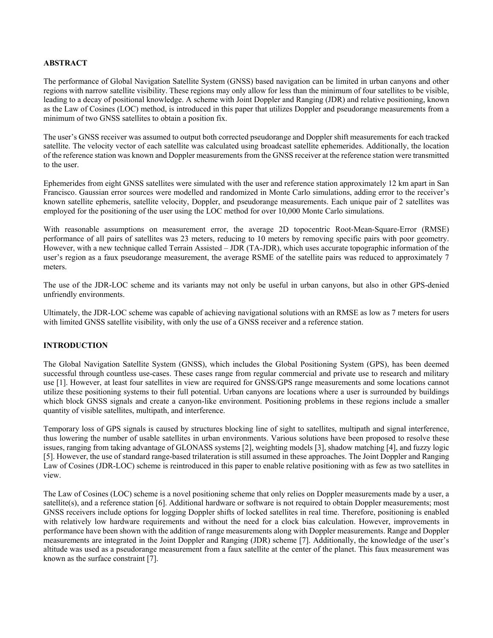#### **ABSTRACT**

The performance of Global Navigation Satellite System (GNSS) based navigation can be limited in urban canyons and other regions with narrow satellite visibility. These regions may only allow for less than the minimum of four satellites to be visible, leading to a decay of positional knowledge. A scheme with Joint Doppler and Ranging (JDR) and relative positioning, known as the Law of Cosines (LOC) method, is introduced in this paper that utilizes Doppler and pseudorange measurements from a minimum of two GNSS satellites to obtain a position fix.

The user's GNSS receiver was assumed to output both corrected pseudorange and Doppler shift measurements for each tracked satellite. The velocity vector of each satellite was calculated using broadcast satellite ephemerides. Additionally, the location of the reference station was known and Doppler measurements from the GNSS receiver at the reference station were transmitted to the user.

Ephemerides from eight GNSS satellites were simulated with the user and reference station approximately 12 km apart in San Francisco. Gaussian error sources were modelled and randomized in Monte Carlo simulations, adding error to the receiver's known satellite ephemeris, satellite velocity, Doppler, and pseudorange measurements. Each unique pair of 2 satellites was employed for the positioning of the user using the LOC method for over 10,000 Monte Carlo simulations.

With reasonable assumptions on measurement error, the average 2D topocentric Root-Mean-Square-Error (RMSE) performance of all pairs of satellites was 23 meters, reducing to 10 meters by removing specific pairs with poor geometry. However, with a new technique called Terrain Assisted – JDR (TA-JDR), which uses accurate topographic information of the user's region as a faux pseudorange measurement, the average RSME of the satellite pairs was reduced to approximately 7 meters.

The use of the JDR-LOC scheme and its variants may not only be useful in urban canyons, but also in other GPS-denied unfriendly environments.

Ultimately, the JDR-LOC scheme was capable of achieving navigational solutions with an RMSE as low as 7 meters for users with limited GNSS satellite visibility, with only the use of a GNSS receiver and a reference station.

## **INTRODUCTION**

The Global Navigation Satellite System (GNSS), which includes the Global Positioning System (GPS), has been deemed successful through countless use-cases. These cases range from regular commercial and private use to research and military use [1]. However, at least four satellites in view are required for GNSS/GPS range measurements and some locations cannot utilize these positioning systems to their full potential. Urban canyons are locations where a user is surrounded by buildings which block GNSS signals and create a canyon-like environment. Positioning problems in these regions include a smaller quantity of visible satellites, multipath, and interference.

Temporary loss of GPS signals is caused by structures blocking line of sight to satellites, multipath and signal interference, thus lowering the number of usable satellites in urban environments. Various solutions have been proposed to resolve these issues, ranging from taking advantage of GLONASS systems [2], weighting models [3], shadow matching [4], and fuzzy logic [5]. However, the use of standard range-based trilateration is still assumed in these approaches. The Joint Doppler and Ranging Law of Cosines (JDR-LOC) scheme is reintroduced in this paper to enable relative positioning with as few as two satellites in view.

The Law of Cosines (LOC) scheme is a novel positioning scheme that only relies on Doppler measurements made by a user, a satellite(s), and a reference station [6]. Additional hardware or software is not required to obtain Doppler measurements; most GNSS receivers include options for logging Doppler shifts of locked satellites in real time. Therefore, positioning is enabled with relatively low hardware requirements and without the need for a clock bias calculation. However, improvements in performance have been shown with the addition of range measurements along with Doppler measurements. Range and Doppler measurements are integrated in the Joint Doppler and Ranging (JDR) scheme [7]. Additionally, the knowledge of the user's altitude was used as a pseudorange measurement from a faux satellite at the center of the planet. This faux measurement was known as the surface constraint [7].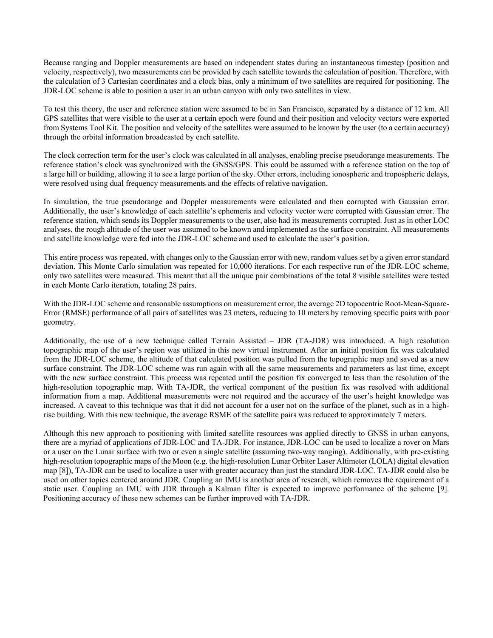Because ranging and Doppler measurements are based on independent states during an instantaneous timestep (position and velocity, respectively), two measurements can be provided by each satellite towards the calculation of position. Therefore, with the calculation of 3 Cartesian coordinates and a clock bias, only a minimum of two satellites are required for positioning. The JDR-LOC scheme is able to position a user in an urban canyon with only two satellites in view.

To test this theory, the user and reference station were assumed to be in San Francisco, separated by a distance of 12 km. All GPS satellites that were visible to the user at a certain epoch were found and their position and velocity vectors were exported from Systems Tool Kit. The position and velocity of the satellites were assumed to be known by the user (to a certain accuracy) through the orbital information broadcasted by each satellite.

The clock correction term for the user's clock was calculated in all analyses, enabling precise pseudorange measurements. The reference station's clock was synchronized with the GNSS/GPS. This could be assumed with a reference station on the top of a large hill or building, allowing it to see a large portion of the sky. Other errors, including ionospheric and tropospheric delays, were resolved using dual frequency measurements and the effects of relative navigation.

In simulation, the true pseudorange and Doppler measurements were calculated and then corrupted with Gaussian error. Additionally, the user's knowledge of each satellite's ephemeris and velocity vector were corrupted with Gaussian error. The reference station, which sends its Doppler measurements to the user, also had its measurements corrupted. Just as in other LOC analyses, the rough altitude of the user was assumed to be known and implemented as the surface constraint. All measurements and satellite knowledge were fed into the JDR-LOC scheme and used to calculate the user's position.

This entire process was repeated, with changes only to the Gaussian error with new, random values set by a given error standard deviation. This Monte Carlo simulation was repeated for 10,000 iterations. For each respective run of the JDR-LOC scheme, only two satellites were measured. This meant that all the unique pair combinations of the total 8 visible satellites were tested in each Monte Carlo iteration, totaling 28 pairs.

With the JDR-LOC scheme and reasonable assumptions on measurement error, the average 2D topocentric Root-Mean-Square-Error (RMSE) performance of all pairs of satellites was 23 meters, reducing to 10 meters by removing specific pairs with poor geometry.

Additionally, the use of a new technique called Terrain Assisted – JDR (TA-JDR) was introduced. A high resolution topographic map of the user's region was utilized in this new virtual instrument. After an initial position fix was calculated from the JDR-LOC scheme, the altitude of that calculated position was pulled from the topographic map and saved as a new surface constraint. The JDR-LOC scheme was run again with all the same measurements and parameters as last time, except with the new surface constraint. This process was repeated until the position fix converged to less than the resolution of the high-resolution topographic map. With TA-JDR, the vertical component of the position fix was resolved with additional information from a map. Additional measurements were not required and the accuracy of the user's height knowledge was increased. A caveat to this technique was that it did not account for a user not on the surface of the planet, such as in a highrise building. With this new technique, the average RSME of the satellite pairs was reduced to approximately 7 meters.

Although this new approach to positioning with limited satellite resources was applied directly to GNSS in urban canyons, there are a myriad of applications of JDR-LOC and TA-JDR. For instance, JDR-LOC can be used to localize a rover on Mars or a user on the Lunar surface with two or even a single satellite (assuming two-way ranging). Additionally, with pre-existing high-resolution topographic maps of the Moon (e.g. the high-resolution Lunar Orbiter Laser Altimeter (LOLA) digital elevation map [8]), TA-JDR can be used to localize a user with greater accuracy than just the standard JDR-LOC. TA-JDR could also be used on other topics centered around JDR. Coupling an IMU is another area of research, which removes the requirement of a static user. Coupling an IMU with JDR through a Kalman filter is expected to improve performance of the scheme [9]. Positioning accuracy of these new schemes can be further improved with TA-JDR.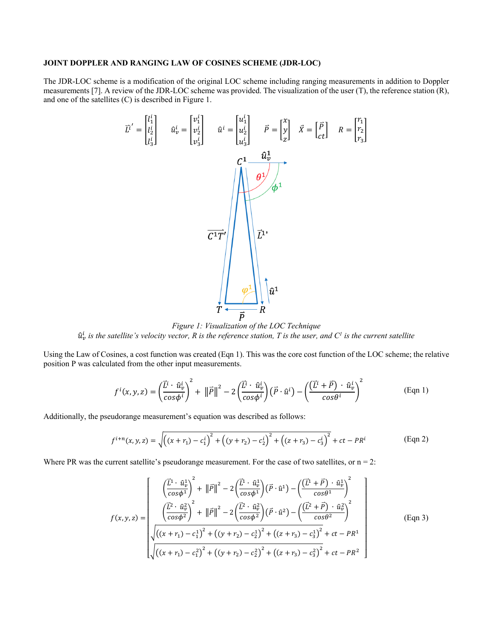## JOINT DOPPLER AND RANGING LAW OF COSINES SCHEME (JDR-LOC)

J.

The JDR-LOC scheme is a modification of the original LOC scheme including ranging measurements in addition to Doppler measurements [7]. A review of the JDR-LOC scheme was provided. The visualization of the user  $(T)$ , the reference station  $(R)$ , and one of the satellites (C) is described in Figure 1.

i.

$$
\vec{L}^i = \begin{bmatrix} l_1^i \\ l_2^i \\ l_3^i \end{bmatrix} \qquad \hat{u}^i_v = \begin{bmatrix} v_1^i \\ v_2^i \\ v_3^i \end{bmatrix} \qquad \hat{u}^i = \begin{bmatrix} u_1^i \\ u_2^i \\ u_3^i \end{bmatrix} \qquad \vec{P} = \begin{bmatrix} x \\ y \\ z \end{bmatrix} \qquad \vec{X} = \begin{bmatrix} \vec{P} \\ \vec{P} \end{bmatrix} \qquad R = \begin{bmatrix} r_1 \\ r_2 \\ r_3 \end{bmatrix}
$$

Figure 1: Visualization of the LOC Technique  $\hat{u}_v^i$  is the satellite's velocity vector, R is the reference station, T is the user, and  $C^i$  is the current satellite

Using the Law of Cosines, a cost function was created (Eqn 1). This was the core cost function of the LOC scheme; the relative position P was calculated from the other input measurements.

$$
f^{i}(x, y, z) = \left(\frac{\vec{L}^{i} \cdot \hat{u}_{v}^{i}}{\cos \phi^{i}}\right)^{2} + \left\|\vec{P}\right\|^{2} - 2\left(\frac{\vec{L}^{i} \cdot \hat{u}_{v}^{i}}{\cos \phi^{i}}\right)\left(\vec{P} \cdot \hat{u}^{i}\right) - \left(\frac{\left(\vec{L}^{i} + \vec{P}\right) \cdot \hat{u}_{v}^{i}}{\cos \theta^{i}}\right)^{2}
$$
(Eqn 1)

Additionally, the pseudorange measurement's equation was described as follows:

$$
f^{i+n}(x, y, z) = \sqrt{\left((x + r_1) - c_1^i\right)^2 + \left((y + r_2) - c_2^i\right)^2 + \left((z + r_3) - c_3^i\right)^2} + ct - PR^i
$$
 (Eqn 2)

Where PR was the current satellite's pseudorange measurement. For the case of two satellites, or  $n = 2$ :

$$
f(x,y,z) = \begin{bmatrix} \left(\frac{\vec{L}^1 \cdot \hat{u}_v^1}{\cos \phi^1}\right)^2 + \left\|\vec{P}\right\|^2 - 2\left(\frac{\vec{L}^1 \cdot \hat{u}_v^1}{\cos \phi^1}\right)(\vec{P} \cdot \hat{u}^1) - \left(\frac{\left(\vec{L}^1 + \vec{P}\right) \cdot \hat{u}_v^1}{\cos \theta^1}\right)^2\\ \left(\frac{\vec{L}^2 \cdot \hat{u}_v^2}{\cos \phi^2}\right)^2 + \left\|\vec{P}\right\|^2 - 2\left(\frac{\vec{L}^2 \cdot \hat{u}_v^2}{\cos \phi^2}\right)(\vec{P} \cdot \hat{u}^2) - \left(\frac{\left(\vec{L}^2 + \vec{P}\right) \cdot \hat{u}_v^2}{\cos \theta^2}\right)^2\\ \sqrt{\left((x + r_1) - c_1^1\right)^2 + \left((y + r_2) - c_2^1\right)^2 + \left((z + r_3) - c_3^1\right)^2} + ct - PR^1\\ \sqrt{\left((x + r_1) - c_1^2\right)^2 + \left((y + r_2) - c_2^2\right)^2 + \left((z + r_3) - c_3^2\right)^2} + ct - PR^2 \end{bmatrix}
$$
(Eqn 3)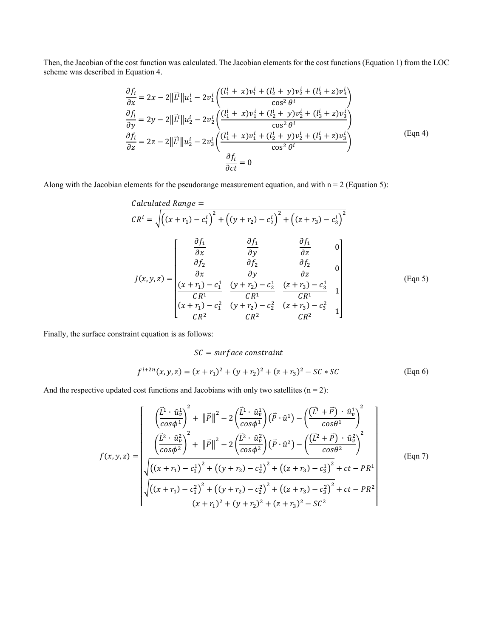Then, the Jacobian of the cost function was calculated. The Jacobian elements for the cost functions (Equation 1) from the LOC scheme was described in Equation 4.

$$
\frac{\partial f_i}{\partial x} = 2x - 2||\vec{L}^i||u_1^i - 2v_1^i \left( \frac{(l_1^i + x)v_1^i + (l_2^i + y)v_2^i + (l_3^i + z)v_3^i}{\cos^2{\theta}^i} \right)
$$
  
\n
$$
\frac{\partial f_i}{\partial y} = 2y - 2||\vec{L}^i||u_2^i - 2v_2^i \left( \frac{(l_1^i + x)v_1^i + (l_2^i + y)v_2^i + (l_3^i + z)v_3^i}{\cos^2{\theta}^i} \right)
$$
  
\n
$$
\frac{\partial f_i}{\partial z} = 2z - 2||\vec{L}^i||u_2^i - 2v_3^i \left( \frac{(l_1^i + x)v_1^i + (l_2^i + y)v_2^i + (l_3^i + z)v_3^i}{\cos^2{\theta}^i} \right)
$$
  
\n
$$
\frac{\partial f_i}{\partial ct} = 0
$$
 (Eqn 4)

Along with the Jacobian elements for the pseudorange measurement equation, and with  $n = 2$  (Equation 5):

$$
Calculated Range =
$$
\n
$$
CR^{i} = \sqrt{((x + r_{1}) - c_{1}^{i})^{2} + ((y + r_{2}) - c_{2}^{i})^{2} + ((z + r_{3}) - c_{3}^{i})^{2}}
$$
\n
$$
J(x, y, z) = \begin{bmatrix}\n\frac{\partial f_{1}}{\partial x} & \frac{\partial f_{1}}{\partial y} & \frac{\partial f_{1}}{\partial z} & 0 \\
\frac{\partial f_{2}}{\partial x} & \frac{\partial f_{2}}{\partial y} & \frac{\partial f_{2}}{\partial z} & 0 \\
\frac{(x + r_{1}) - c_{1}^{1}}{CR^{1}} & \frac{(y + r_{2}) - c_{2}^{1}}{CR^{1}} & \frac{(z + r_{3}) - c_{3}^{1}}{CR^{1}} & 1 \\
\frac{(x + r_{1}) - c_{1}^{2}}{CR^{2}} & \frac{(y + r_{2}) - c_{2}^{2}}{CR^{2}} & \frac{(z + r_{3}) - c_{3}^{2}}{CR^{2}} & 1\n\end{bmatrix}
$$
\n(Eqn 5)

Finally, the surface constraint equation is as follows:

#### $SC = surface constant$

$$
f^{i+2n}(x, y, z) = (x + r_1)^2 + (y + r_2)^2 + (z + r_3)^2 - SC * SC
$$
 (Eqn 6)

And the respective updated cost functions and Jacobians with only two satellites  $(n = 2)$ :

$$
f(x,y,z) = \begin{bmatrix} \left(\frac{\vec{L}^1 \cdot \hat{u}_v^1}{\cos \phi^1}\right)^2 + \left\|\vec{P}\right\|^2 - 2\left(\frac{\vec{L}^1 \cdot \hat{u}_v^1}{\cos \phi^1}\right)(\vec{P} \cdot \hat{u}^1) - \left(\frac{(\vec{L}^1 + \vec{P}) \cdot \hat{u}_v^1}{\cos \theta^1}\right)^2 \\ \left(\frac{\vec{L}^2 \cdot \hat{u}_v^2}{\cos \phi^2}\right)^2 + \left\|\vec{P}\right\|^2 - 2\left(\frac{\vec{L}^2 \cdot \hat{u}_v^2}{\cos \phi^2}\right)(\vec{P} \cdot \hat{u}^2) - \left(\frac{(\vec{L}^2 + \vec{P}) \cdot \hat{u}_v^2}{\cos \theta^2}\right)^2 \\ \sqrt{\left((x + r_1) - c_1^1\right)^2 + \left((y + r_2) - c_2^1\right)^2 + \left((z + r_3) - c_3^1\right)^2} + ct - PR^1 \\ \sqrt{\left((x + r_1) - c_1^2\right)^2 + \left((y + r_2) - c_2^2\right)^2 + \left((z + r_3) - c_3^2\right)^2} + ct - PR^2 \\ (x + r_1)^2 + (y + r_2)^2 + (z + r_3)^2 - SC^2 \end{bmatrix}
$$
(Eqn 7)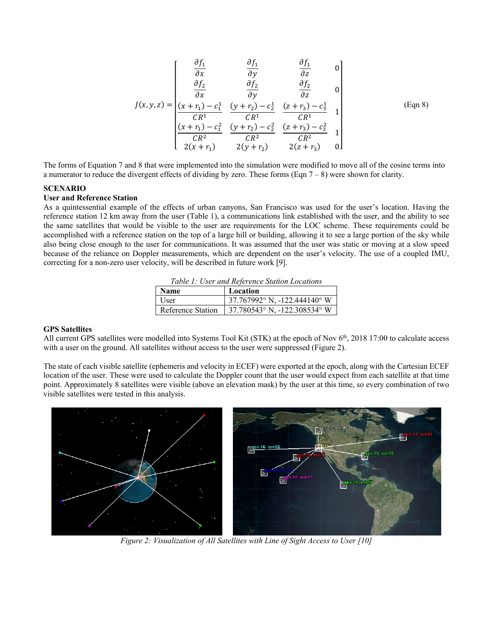$$
J(x,y,z) = \begin{bmatrix} \frac{\partial f_1}{\partial x} & \frac{\partial f_1}{\partial y} & \frac{\partial f_1}{\partial z} & 0\\ \frac{\partial f_2}{\partial x} & \frac{\partial f_2}{\partial y} & \frac{\partial f_2}{\partial z} & 0\\ \frac{(x+r_1)-c_1^1}{CR^1} & \frac{(y+r_2)-c_2^1}{CR^1} & \frac{(z+r_3)-c_3^1}{CR^1} & 1\\ \frac{(x+r_1)-c_1^2}{CR^2} & \frac{(y+r_2)-c_2^2}{CR^2} & \frac{(z+r_3)-c_3^2}{CR^2} & 1\\ 2(x+r_1) & 2(y+r_2) & 2(z+r_3) & 0 \end{bmatrix}
$$
(Eqn 8)

The forms of Equation 7 and 8 that were implemented into the simulation were modified to move all of the cosine terms into a numerator to reduce the divergent effects of dividing by zero. These forms (Eqn  $7 - 8$ ) were shown for clarity.

#### **SCENARIO**

#### **User and Reference Station**

As a quintessential example of the effects of urban canyons, San Francisco was used for the user's location. Having the reference station 12 km away from the user (Table 1), a communications link established with the user, and the ability to see the same satellites that would be visible to the user are requirements for the LOC scheme. These requirements could be accomplished with a reference station on the top of a large hill or building, allowing it to see a large portion of the sky while also being close enough to the user for communications. It was assumed that the user was static or moving at a slow speed because of the reliance on Doppler measurements, which are dependent on the user's velocity. The use of a coupled IMU, correcting for a non-zero user velocity, will be described in future work [9].

|  | Table 1: User and Reference Station Locations |
|--|-----------------------------------------------|
|--|-----------------------------------------------|

| <b>Name</b>       | Location                                           |
|-------------------|----------------------------------------------------|
| User              | 37.767992° N, -122.444140° W                       |
| Reference Station | $\frac{37.780543^{\circ} N}{122.308534^{\circ} W}$ |

#### **GPS Satellites**

All current GPS satellites were modelled into Systems Tool Kit (STK) at the epoch of Nov  $6<sup>th</sup>$ , 2018 17:00 to calculate access with a user on the ground. All satellites without access to the user were suppressed (Figure 2).

The state of each visible satellite (ephemeris and velocity in ECEF) were exported at the epoch, along with the Cartesian ECEF location of the user. These were used to calculate the Doppler count that the user would expect from each satellite at that time point. Approximately 8 satellites were visible (above an elevation mask) by the user at this time, so every combination of two visible satellites were tested in this analysis.



*Figure 2: Visualization of All Satellites with Line of Sight Access to User [10]*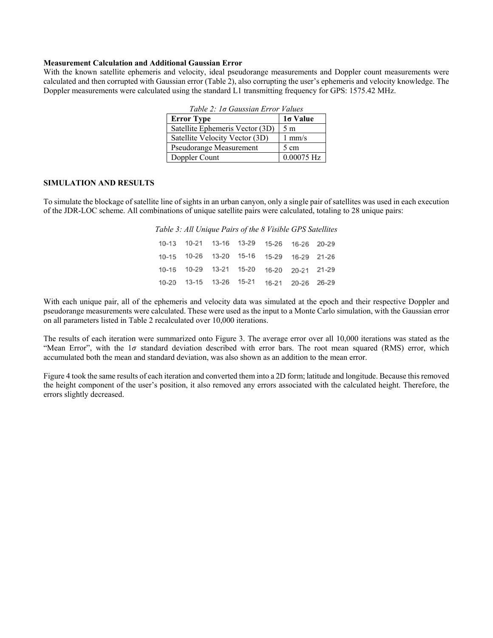#### **Measurement Calculation and Additional Gaussian Error**

With the known satellite ephemeris and velocity, ideal pseudorange measurements and Doppler count measurements were calculated and then corrupted with Gaussian error (Table 2), also corrupting the user's ephemeris and velocity knowledge. The Doppler measurements were calculated using the standard L1 transmitting frequency for GPS: 1575.42 MHz.

| Table 2. To Gaussian Error Values |                  |  |  |  |  |
|-----------------------------------|------------------|--|--|--|--|
| <b>Error Type</b>                 | $1\sigma$ Value  |  |  |  |  |
| Satellite Ephemeris Vector (3D)   | 5 <sub>m</sub>   |  |  |  |  |
| Satellite Velocity Vector (3D)    | $1 \text{ mm/s}$ |  |  |  |  |
| Pseudorange Measurement           | $5 \text{ cm}$   |  |  |  |  |
| Doppler Count                     | $0.00075$ Hz     |  |  |  |  |

*Table 2: 1σ Gaussian Error Values*

#### **SIMULATION AND RESULTS**

To simulate the blockage of satellite line of sights in an urban canyon, only a single pair of satellites was used in each execution of the JDR-LOC scheme. All combinations of unique satellite pairs were calculated, totaling to 28 unique pairs:

|  |  | 10-13 10-21 13-16 13-29 15-26 16-26 20-29 |  |
|--|--|-------------------------------------------|--|
|  |  | 10-15 10-26 13-20 15-16 15-29 16-29 21-26 |  |
|  |  | 10-16 10-29 13-21 15-20 16-20 20-21 21-29 |  |
|  |  | 10-20 13-15 13-26 15-21 16-21 20-26 26-29 |  |

With each unique pair, all of the ephemeris and velocity data was simulated at the epoch and their respective Doppler and pseudorange measurements were calculated. These were used as the input to a Monte Carlo simulation, with the Gaussian error on all parameters listed in Table 2 recalculated over 10,000 iterations.

The results of each iteration were summarized onto Figure 3. The average error over all 10,000 iterations was stated as the "Mean Error", with the  $1\sigma$  standard deviation described with error bars. The root mean squared (RMS) error, which accumulated both the mean and standard deviation, was also shown as an addition to the mean error.

Figure 4 took the same results of each iteration and converted them into a 2D form; latitude and longitude. Because this removed the height component of the user's position, it also removed any errors associated with the calculated height. Therefore, the errors slightly decreased.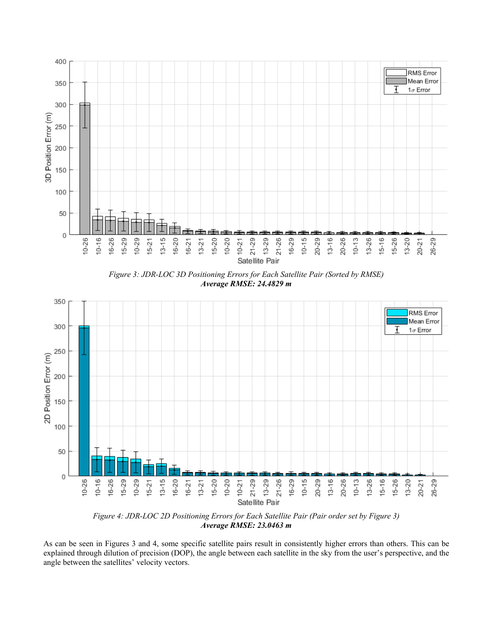

*Figure 3: JDR-LOC 3D Positioning Errors for Each Satellite Pair (Sorted by RMSE) Average RMSE: 24.4829 m*



*Figure 4: JDR-LOC 2D Positioning Errors for Each Satellite Pair (Pair order set by Figure 3) Average RMSE: 23.0463 m*

As can be seen in Figures 3 and 4, some specific satellite pairs result in consistently higher errors than others. This can be explained through dilution of precision (DOP), the angle between each satellite in the sky from the user's perspective, and the angle between the satellites' velocity vectors.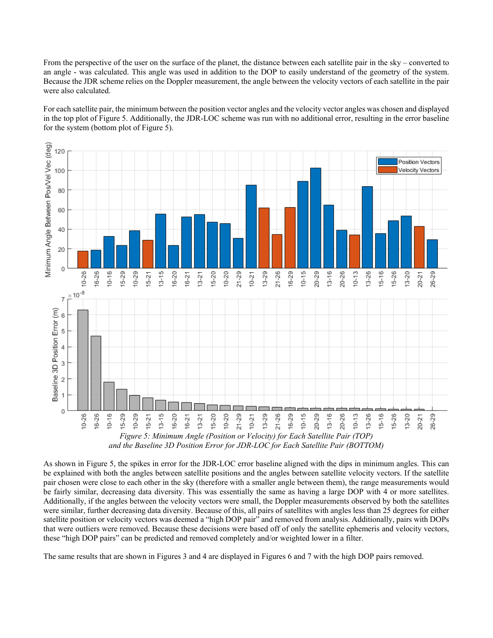From the perspective of the user on the surface of the planet, the distance between each satellite pair in the sky – converted to an angle - was calculated. This angle was used in addition to the DOP to easily understand of the geometry of the system. Because the JDR scheme relies on the Doppler measurement, the angle between the velocity vectors of each satellite in the pair were also calculated.

For each satellite pair, the minimum between the position vector angles and the velocity vector angles was chosen and displayed in the top plot of Figure 5. Additionally, the JDR-LOC scheme was run with no additional error, resulting in the error baseline for the system (bottom plot of Figure 5).



*and the Baseline 3D Position Error for JDR-LOC for Each Satellite Pair (BOTTOM)*

As shown in Figure 5, the spikes in error for the JDR-LOC error baseline aligned with the dips in minimum angles. This can be explained with both the angles between satellite positions and the angles between satellite velocity vectors. If the satellite pair chosen were close to each other in the sky (therefore with a smaller angle between them), the range measurements would be fairly similar, decreasing data diversity. This was essentially the same as having a large DOP with 4 or more satellites. Additionally, if the angles between the velocity vectors were small, the Doppler measurements observed by both the satellites were similar, further decreasing data diversity. Because of this, all pairs of satellites with angles less than 25 degrees for either satellite position or velocity vectors was deemed a "high DOP pair" and removed from analysis. Additionally, pairs with DOPs that were outliers were removed. Because these decisions were based off of only the satellite ephemeris and velocity vectors, these "high DOP pairs" can be predicted and removed completely and/or weighted lower in a filter.

The same results that are shown in Figures 3 and 4 are displayed in Figures 6 and 7 with the high DOP pairs removed.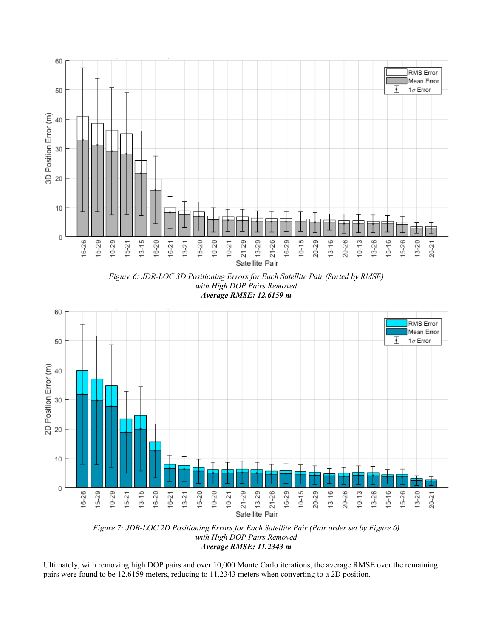

*Figure 7: JDR-LOC 2D Positioning Errors for Each Satellite Pair (Pair order set by Figure 6) with High DOP Pairs Removed Average RMSE: 11.2343 m*

Ultimately, with removing high DOP pairs and over 10,000 Monte Carlo iterations, the average RMSE over the remaining pairs were found to be 12.6159 meters, reducing to 11.2343 meters when converting to a 2D position.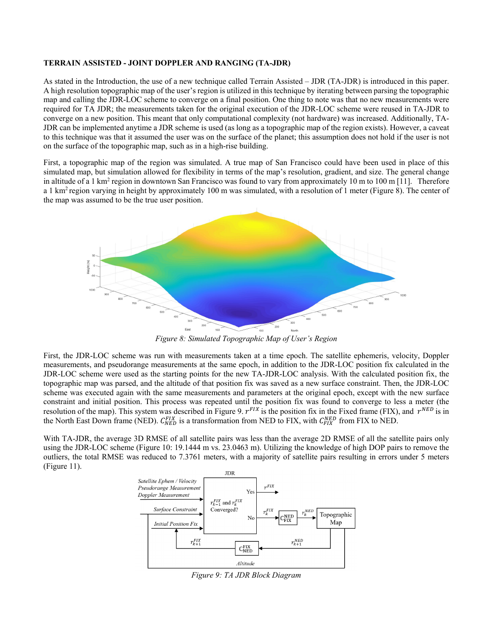#### **TERRAIN ASSISTED - JOINT DOPPLER AND RANGING (TA-JDR)**

As stated in the Introduction, the use of a new technique called Terrain Assisted – JDR (TA-JDR) is introduced in this paper. A high resolution topographic map of the user's region is utilized in this technique by iterating between parsing the topographic map and calling the JDR-LOC scheme to converge on a final position. One thing to note was that no new measurements were required for TA JDR; the measurements taken for the original execution of the JDR-LOC scheme were reused in TA-JDR to converge on a new position. This meant that only computational complexity (not hardware) was increased. Additionally, TA-JDR can be implemented anytime a JDR scheme is used (as long as a topographic map of the region exists). However, a caveat to this technique was that it assumed the user was on the surface of the planet; this assumption does not hold if the user is not on the surface of the topographic map, such as in a high-rise building.

First, a topographic map of the region was simulated. A true map of San Francisco could have been used in place of this simulated map, but simulation allowed for flexibility in terms of the map's resolution, gradient, and size. The general change in altitude of a 1 km<sup>2</sup> region in downtown San Francisco was found to vary from approximately 10 m to 100 m [11]. Therefore a 1 km<sup>2</sup> region varying in height by approximately 100 m was simulated, with a resolution of 1 meter (Figure 8). The center of the map was assumed to be the true user position.



*Figure 8: Simulated Topographic Map of User's Region*

First, the JDR-LOC scheme was run with measurements taken at a time epoch. The satellite ephemeris, velocity, Doppler measurements, and pseudorange measurements at the same epoch, in addition to the JDR-LOC position fix calculated in the JDR-LOC scheme were used as the starting points for the new TA-JDR-LOC analysis. With the calculated position fix, the topographic map was parsed, and the altitude of that position fix was saved as a new surface constraint. Then, the JDR-LOC scheme was executed again with the same measurements and parameters at the original epoch, except with the new surface constraint and initial position. This process was repeated until the position fix was found to converge to less a meter (the resolution of the map). This system was described in Figure 9.  $r^{FX}$  is the position fix in the Fixed frame (FIX), and  $r^{NED}$  is in the North East Down frame (NED).  $C_{NED}^{FIX}$  is a transformation from NED to FIX, with  $C_{FIX}^{NED}$  from FIX to NED.

With TA-JDR, the average 3D RMSE of all satellite pairs was less than the average 2D RMSE of all the satellite pairs only using the JDR-LOC scheme (Figure 10: 19.1444 m vs. 23.0463 m). Utilizing the knowledge of high DOP pairs to remove the outliers, the total RMSE was reduced to 7.3761 meters, with a majority of satellite pairs resulting in errors under 5 meters (Figure 11).

![](_page_10_Figure_7.jpeg)

*Figure 9: TA JDR Block Diagram*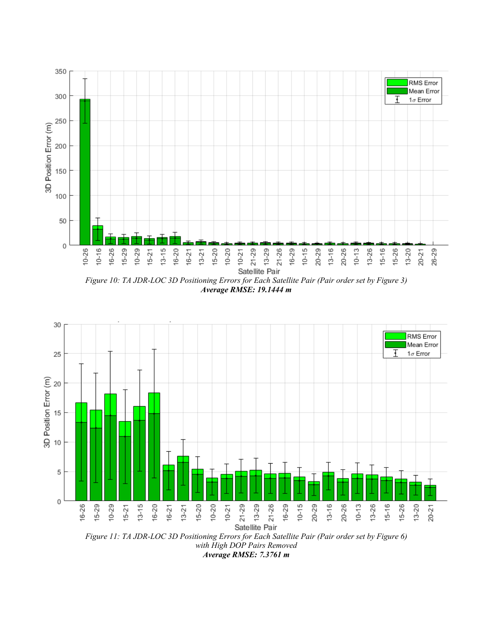![](_page_11_Figure_0.jpeg)

*Average RMSE: 19.1444 m*

![](_page_11_Figure_2.jpeg)

*with High DOP Pairs Removed Average RMSE: 7.3761 m*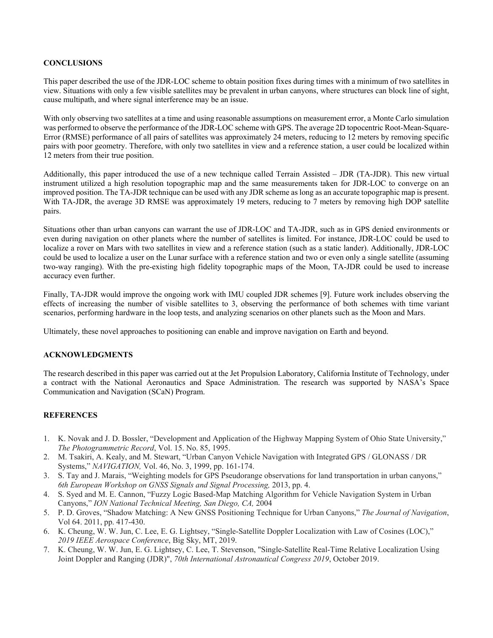# **CONCLUSIONS**

This paper described the use of the JDR-LOC scheme to obtain position fixes during times with a minimum of two satellites in view. Situations with only a few visible satellites may be prevalent in urban canyons, where structures can block line of sight, cause multipath, and where signal interference may be an issue.

With only observing two satellites at a time and using reasonable assumptions on measurement error, a Monte Carlo simulation was performed to observe the performance of the JDR-LOC scheme with GPS. The average 2D topocentric Root-Mean-Square-Error (RMSE) performance of all pairs of satellites was approximately 24 meters, reducing to 12 meters by removing specific pairs with poor geometry. Therefore, with only two satellites in view and a reference station, a user could be localized within 12 meters from their true position.

Additionally, this paper introduced the use of a new technique called Terrain Assisted – JDR (TA-JDR). This new virtual instrument utilized a high resolution topographic map and the same measurements taken for JDR-LOC to converge on an improved position. The TA-JDR technique can be used with any JDR scheme as long as an accurate topographic map is present. With TA-JDR, the average 3D RMSE was approximately 19 meters, reducing to 7 meters by removing high DOP satellite pairs.

Situations other than urban canyons can warrant the use of JDR-LOC and TA-JDR, such as in GPS denied environments or even during navigation on other planets where the number of satellites is limited. For instance, JDR-LOC could be used to localize a rover on Mars with two satellites in view and a reference station (such as a static lander). Additionally, JDR-LOC could be used to localize a user on the Lunar surface with a reference station and two or even only a single satellite (assuming two-way ranging). With the pre-existing high fidelity topographic maps of the Moon, TA-JDR could be used to increase accuracy even further.

Finally, TA-JDR would improve the ongoing work with IMU coupled JDR schemes [9]. Future work includes observing the effects of increasing the number of visible satellites to 3, observing the performance of both schemes with time variant scenarios, performing hardware in the loop tests, and analyzing scenarios on other planets such as the Moon and Mars.

Ultimately, these novel approaches to positioning can enable and improve navigation on Earth and beyond.

# **ACKNOWLEDGMENTS**

The research described in this paper was carried out at the Jet Propulsion Laboratory, California Institute of Technology, under a contract with the National Aeronautics and Space Administration. The research was supported by NASA's Space Communication and Navigation (SCaN) Program.

## **REFERENCES**

- 1. K. Novak and J. D. Bossler, "Development and Application of the Highway Mapping System of Ohio State University," *The Photogrammetric Record*, Vol. 15. No. 85, 1995.
- 2. M. Tsakiri, A. Kealy, and M. Stewart, "Urban Canyon Vehicle Navigation with Integrated GPS / GLONASS / DR Systems," *NAVIGATION,* Vol. 46, No. 3, 1999, pp. 161-174.
- 3. S. Tay and J. Marais, "Weighting models for GPS Pseudorange observations for land transportation in urban canyons," *6th European Workshop on GNSS Signals and Signal Processing,* 2013, pp. 4.
- 4. S. Syed and M. E. Cannon, "Fuzzy Logic Based-Map Matching Algorithm for Vehicle Navigation System in Urban Canyons," *ION National Technical Meeting, San Diego, CA,* 2004
- 5. P. D. Groves, "Shadow Matching: A New GNSS Positioning Technique for Urban Canyons," *The Journal of Navigation*, Vol 64. 2011, pp. 417-430.
- 6. K. Cheung, W. W. Jun, C. Lee, E. G. Lightsey, "Single-Satellite Doppler Localization with Law of Cosines (LOC)," *2019 IEEE Aerospace Conference*, Big Sky, MT, 2019.
- 7. K. Cheung, W. W. Jun, E. G. Lightsey, C. Lee, T. Stevenson, "Single-Satellite Real-Time Relative Localization Using Joint Doppler and Ranging (JDR)", *70th International Astronautical Congress 2019*, October 2019.